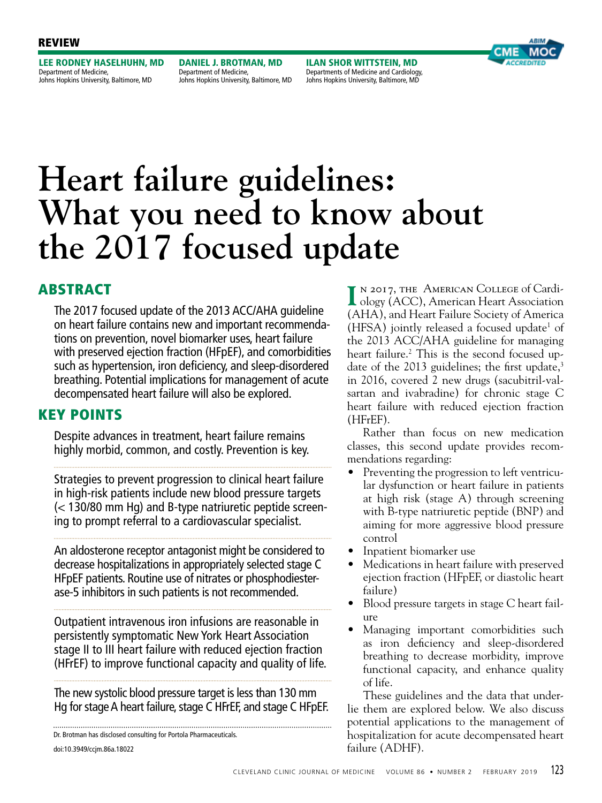## REVIEW

LEE RODNEY HASELHUHN, MD Department of Medicine, Johns Hopkins University, Baltimore, MD

DANIEL J. BROTMAN, MD Department of Medicine, Johns Hopkins University, Baltimore, MD

ILAN SHOR WITTSTEIN, MD Departments of Medicine and Cardiology, Johns Hopkins University, Baltimore, MD



# **Heart failure guidelines: What you need to know about the 2017 focused update**

# ABSTRACT

The 2017 focused update of the 2013 ACC/AHA guideline on heart failure contains new and important recommendations on prevention, novel biomarker uses, heart failure with preserved ejection fraction (HFpEF), and comorbidities such as hypertension, iron deficiency, and sleep-disordered breathing. Potential implications for management of acute decompensated heart failure will also be explored.

# KEY POINTS

Despite advances in treatment, heart failure remains highly morbid, common, and costly. Prevention is key.

Strategies to prevent progression to clinical heart failure in high-risk patients include new blood pressure targets (< 130/80 mm Hg) and B-type natriuretic peptide screening to prompt referral to a cardiovascular specialist.

An aldosterone receptor antagonist might be considered to decrease hospitalizations in appropriately selected stage C HFpEF patients. Routine use of nitrates or phosphodiesterase-5 inhibitors in such patients is not recommended.

Outpatient intravenous iron infusions are reasonable in persistently symptomatic New York Heart Association stage II to III heart failure with reduced ejection fraction (HFrEF) to improve functional capacity and quality of life.

The new systolic blood pressure target is less than 130 mm Hg for stage A heart failure, stage C HFrEF, and stage C HFpEF.

doi:10.3949/ccjm.86a.18022 Dr. Brotman has disclosed consulting for Portola Pharmaceuticals.

**I** n 2017, the American College of Cardi-ology (ACC), American Heart Association (AHA), and Heart Failure Society of America  $(HFSA)$  jointly released a focused update<sup>1</sup> of the 2013 ACC/AHA guideline for managing heart failure.<sup>2</sup> This is the second focused update of the 2013 guidelines; the first update, $3$ in 2016, covered 2 new drugs (sacubitril-valsartan and ivabradine) for chronic stage C heart failure with reduced ejection fraction (HFrEF).

Rather than focus on new medication classes, this second update provides recommendations regarding:

- Preventing the progression to left ventricular dysfunction or heart failure in patients at high risk (stage A) through screening with B-type natriuretic peptide (BNP) and aiming for more aggressive blood pressure control
- Inpatient biomarker use
- Medications in heart failure with preserved ejection fraction (HFpEF, or diastolic heart failure)
- Blood pressure targets in stage C heart failure
- Managing important comorbidities such as iron deficiency and sleep-disordered breathing to decrease morbidity, improve functional capacity, and enhance quality of life.

These guidelines and the data that underlie them are explored below. We also discuss potential applications to the management of hospitalization for acute decompensated heart failure (ADHF).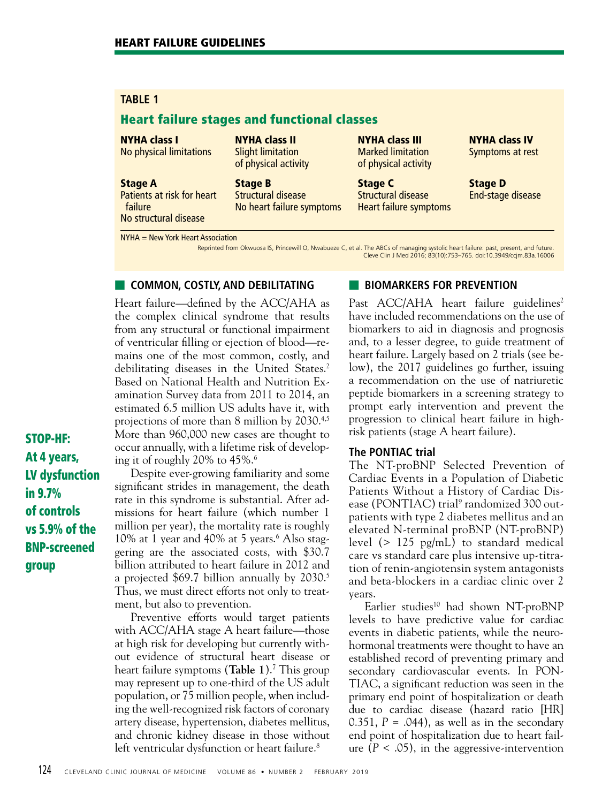## Heart failure stages and functional classes

## NYHA class I

No physical limitations

#### Stage A

Patients at risk for heart failure No structural disease

NYHA class II Slight limitation of physical activity

Stage B Structural disease No heart failure symptoms NYHA class III Marked limitation of physical activity

Stage C Structural disease Heart failure symptoms NYHA class IV Symptoms at rest

Stage D End-stage disease

NYHA = New York Heart Association

Reprinted from Okwuosa IS, Princewill O, Nwabueze C, et al. The ABCs of managing systolic heart failure: past, present, and future. Cleve Clin J Med 2016; 83(10):753–765. doi:10.3949/ccjm.83a.16006

## **■ COMMON, COSTLY, AND DEBILITATING**

Heart failure—defined by the ACC/AHA as the complex clinical syndrome that results from any structural or functional impairment of ventricular filling or ejection of blood—remains one of the most common, costly, and debilitating diseases in the United States.<sup>2</sup> Based on National Health and Nutrition Examination Survey data from 2011 to 2014, an estimated 6.5 million US adults have it, with projections of more than 8 million by 2030.4,5 More than 960,000 new cases are thought to occur annually, with a lifetime risk of developing it of roughly 20% to 45%.6

STOP-HF: At 4 years, LV dysfunction in 9.7% of controls vs 5.9% of the BNP-screened group

Despite ever-growing familiarity and some significant strides in management, the death rate in this syndrome is substantial. After admissions for heart failure (which number 1 million per year), the mortality rate is roughly 10% at 1 year and 40% at 5 years.<sup>6</sup> Also staggering are the associated costs, with \$30.7 billion attributed to heart failure in 2012 and a projected \$69.7 billion annually by 2030.<sup>5</sup> Thus, we must direct efforts not only to treatment, but also to prevention.

Preventive efforts would target patients with ACC/AHA stage A heart failure—those at high risk for developing but currently without evidence of structural heart disease or heart failure symptoms (**Table 1**).7 This group may represent up to one-third of the US adult population, or 75 million people, when including the well-recognized risk factors of coronary artery disease, hypertension, diabetes mellitus, and chronic kidney disease in those without left ventricular dysfunction or heart failure.<sup>8</sup>

## **BIOMARKERS FOR PREVENTION**

Past ACC/AHA heart failure guidelines<sup>2</sup> have included recommendations on the use of biomarkers to aid in diagnosis and prognosis and, to a lesser degree, to guide treatment of heart failure. Largely based on 2 trials (see below), the 2017 guidelines go further, issuing a recommendation on the use of natriuretic peptide biomarkers in a screening strategy to prompt early intervention and prevent the progression to clinical heart failure in highrisk patients (stage A heart failure).

## **The PONTIAC trial**

The NT-proBNP Selected Prevention of Cardiac Events in a Population of Diabetic Patients Without a History of Cardiac Disease (PONTIAC) trial<sup>9</sup> randomized 300 outpatients with type 2 diabetes mellitus and an elevated N-terminal proBNP (NT-proBNP) level (> 125 pg/mL) to standard medical care vs standard care plus intensive up-titration of renin-angiotensin system antagonists and beta-blockers in a cardiac clinic over 2 years.

Earlier studies<sup>10</sup> had shown NT-proBNP levels to have predictive value for cardiac events in diabetic patients, while the neurohormonal treatments were thought to have an established record of preventing primary and secondary cardiovascular events. In PON-TIAC, a significant reduction was seen in the primary end point of hospitalization or death due to cardiac disease (hazard ratio [HR] 0.351,  $P = .044$ ), as well as in the secondary end point of hospitalization due to heart failure  $(P < .05)$ , in the aggressive-intervention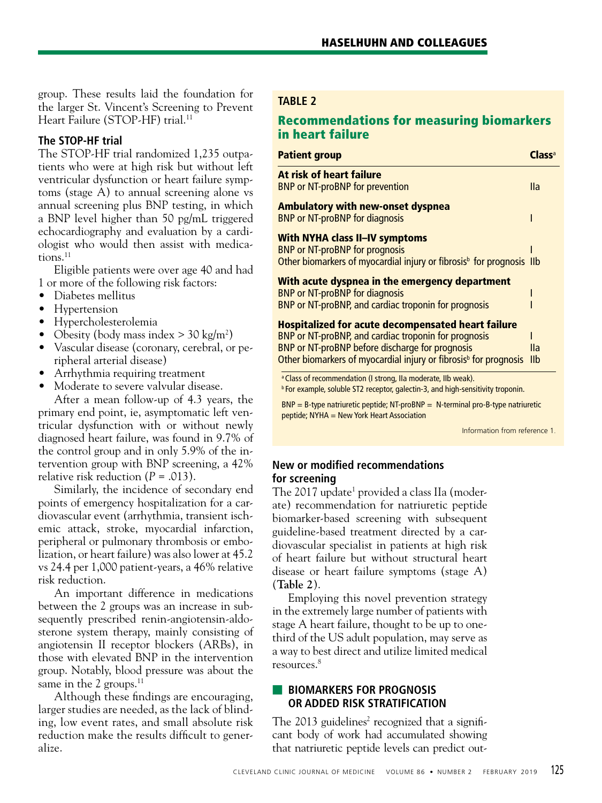group. These results laid the foundation for the larger St. Vincent's Screening to Prevent Heart Failure (STOP-HF) trial.<sup>11</sup>

## **The STOP-HF trial**

The STOP-HF trial randomized 1,235 outpatients who were at high risk but without left ventricular dysfunction or heart failure symptoms (stage A) to annual screening alone vs annual screening plus BNP testing, in which a BNP level higher than 50 pg/mL triggered echocardiography and evaluation by a cardiologist who would then assist with medica $tions.<sup>11</sup>$ 

Eligible patients were over age 40 and had 1 or more of the following risk factors:

- Diabetes mellitus
- Hypertension
- Hypercholesterolemia
- Obesity (body mass index  $>$  30 kg/m<sup>2</sup>)
- Vascular disease (coronary, cerebral, or peripheral arterial disease)
- Arrhythmia requiring treatment
- Moderate to severe valvular disease.

After a mean follow-up of 4.3 years, the primary end point, ie, asymptomatic left ventricular dysfunction with or without newly diagnosed heart failure, was found in 9.7% of the control group and in only 5.9% of the intervention group with BNP screening, a 42% relative risk reduction  $(P = .013)$ .

Similarly, the incidence of secondary end points of emergency hospitalization for a cardiovascular event (arrhythmia, transient ischemic attack, stroke, myocardial infarction, peripheral or pulmonary thrombosis or embolization, or heart failure) was also lower at 45.2 vs 24.4 per 1,000 patient-years, a 46% relative risk reduction.

An important difference in medications between the 2 groups was an increase in subsequently prescribed renin-angiotensin-aldosterone system therapy, mainly consisting of angiotensin II receptor blockers (ARBs), in those with elevated BNP in the intervention group. Notably, blood pressure was about the same in the 2 groups. $11$ 

Although these findings are encouraging, larger studies are needed, as the lack of blinding, low event rates, and small absolute risk reduction make the results difficult to generalize.

## **TABLE 2**

# Recommendations for measuring biomarkers in heart failure

| <b>Patient group</b>                                                                                                                                                                                                                                 |            |
|------------------------------------------------------------------------------------------------------------------------------------------------------------------------------------------------------------------------------------------------------|------------|
| At risk of heart failure<br><b>BNP or NT-proBNP for prevention</b>                                                                                                                                                                                   | lla        |
| <b>Ambulatory with new-onset dyspnea</b><br><b>BNP or NT-proBNP for diagnosis</b>                                                                                                                                                                    |            |
| <b>With NYHA class II-IV symptoms</b><br><b>BNP or NT-proBNP for prognosis</b><br>Other biomarkers of myocardial injury or fibrosis <sup>b</sup> for prognosis IIb                                                                                   |            |
| With acute dyspnea in the emergency department<br><b>BNP or NT-proBNP for diagnosis</b><br>BNP or NT-proBNP, and cardiac troponin for prognosis                                                                                                      |            |
| <b>Hospitalized for acute decompensated heart failure</b><br>BNP or NT-proBNP, and cardiac troponin for prognosis<br>BNP or NT-proBNP before discharge for prognosis<br>Other biomarkers of myocardial injury or fibrosis <sup>b</sup> for prognosis | lla<br>IIb |

<sup>a</sup> Class of recommendation (I strong, IIa moderate, IIb weak).

**b** For example, soluble ST2 receptor, galectin-3, and high-sensitivity troponin.

 $BNP = B$ -type natriuretic peptide; NT-proBNP = N-terminal pro-B-type natriuretic peptide; NYHA = New York Heart Association

Information from reference 1.

## **New or modified recommendations for screening**

The 2017 update<sup>1</sup> provided a class IIa (moderate) recommendation for natriuretic peptide biomarker-based screening with subsequent guideline-based treatment directed by a cardiovascular specialist in patients at high risk of heart failure but without structural heart disease or heart failure symptoms (stage A) (**Table 2**).

Employing this novel prevention strategy in the extremely large number of patients with stage A heart failure, thought to be up to onethird of the US adult population, may serve as a way to best direct and utilize limited medical resources.8

## ■ **BIOMARKERS FOR PROGNOSIS OR ADDED RISK STRATIFICATION**

The  $2013$  guidelines<sup>2</sup> recognized that a significant body of work had accumulated showing that natriuretic peptide levels can predict out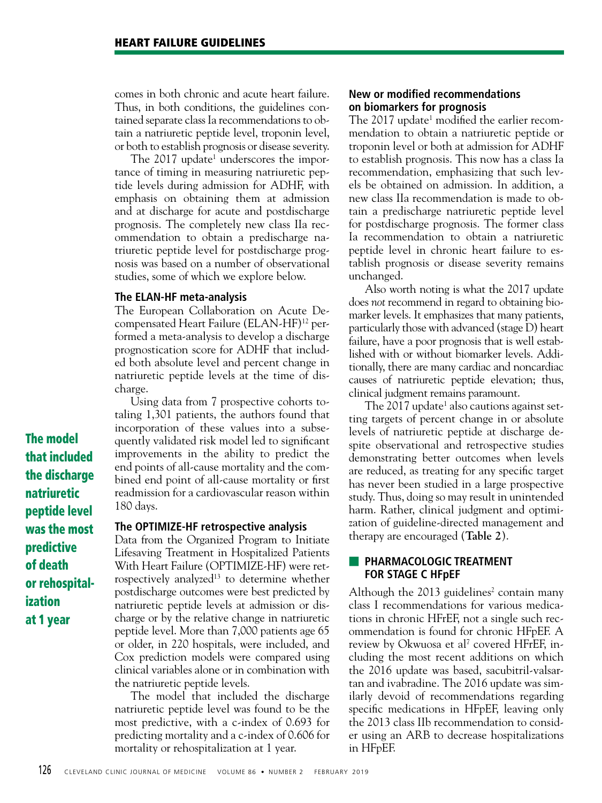comes in both chronic and acute heart failure. Thus, in both conditions, the guidelines contained separate class Ia recommendations to obtain a natriuretic peptide level, troponin level, or both to establish prognosis or disease severity.

The 2017 update<sup>1</sup> underscores the importance of timing in measuring natriuretic peptide levels during admission for ADHF, with emphasis on obtaining them at admission and at discharge for acute and postdischarge prognosis. The completely new class IIa recommendation to obtain a predischarge natriuretic peptide level for postdischarge prognosis was based on a number of observational studies, some of which we explore below.

#### **The ELAN-HF meta-analysis**

The European Collaboration on Acute Decompensated Heart Failure (ELAN-HF)12 performed a meta-analysis to develop a discharge prognostication score for ADHF that included both absolute level and percent change in natriuretic peptide levels at the time of discharge.

Using data from 7 prospective cohorts totaling 1,301 patients, the authors found that incorporation of these values into a subsequently validated risk model led to significant improvements in the ability to predict the end points of all-cause mortality and the combined end point of all-cause mortality or first readmission for a cardiovascular reason within 180 days.

#### **The OPTIMIZE-HF retrospective analysis**

Data from the Organized Program to Initiate Lifesaving Treatment in Hospitalized Patients With Heart Failure (OPTIMIZE-HF) were retrospectively analyzed $13$  to determine whether postdischarge outcomes were best predicted by natriuretic peptide levels at admission or discharge or by the relative change in natriuretic peptide level. More than 7,000 patients age 65 or older, in 220 hospitals, were included, and Cox prediction models were compared using clinical variables alone or in combination with the natriuretic peptide levels.

The model that included the discharge natriuretic peptide level was found to be the most predictive, with a c-index of 0.693 for predicting mortality and a c-index of 0.606 for mortality or rehospitalization at 1 year.

## **New or modified recommendations on biomarkers for prognosis**

The 2017 update<sup>1</sup> modified the earlier recommendation to obtain a natriuretic peptide or troponin level or both at admission for ADHF to establish prognosis. This now has a class Ia recommendation, emphasizing that such levels be obtained on admission. In addition, a new class IIa recommendation is made to obtain a predischarge natriuretic peptide level for postdischarge prognosis. The former class Ia recommendation to obtain a natriuretic peptide level in chronic heart failure to establish prognosis or disease severity remains unchanged.

Also worth noting is what the 2017 update does *not* recommend in regard to obtaining biomarker levels. It emphasizes that many patients, particularly those with advanced (stage D) heart failure, have a poor prognosis that is well established with or without biomarker levels. Additionally, there are many cardiac and noncardiac causes of natriuretic peptide elevation; thus, clinical judgment remains paramount.

The 2017 update<sup>1</sup> also cautions against setting targets of percent change in or absolute levels of natriuretic peptide at discharge despite observational and retrospective studies demonstrating better outcomes when levels are reduced, as treating for any specific target has never been studied in a large prospective study. Thus, doing so may result in unintended harm. Rather, clinical judgment and optimization of guideline-directed management and therapy are encouraged (**Table 2**).

## **E PHARMACOLOGIC TREATMENT FOR STAGE C HFpEF**

Although the  $2013$  guidelines<sup>2</sup> contain many class I recommendations for various medications in chronic HFrEF, not a single such recommendation is found for chronic HFpEF. A review by Okwuosa et al<sup>7</sup> covered HFrEF, including the most recent additions on which the 2016 update was based, sacubitril-valsartan and ivabradine. The 2016 update was similarly devoid of recommendations regarding specific medications in HFpEF, leaving only the 2013 class IIb recommendation to consider using an ARB to decrease hospitalizations in HFpEF.

The model that included the discharge natriuretic peptide level was the most predictive of death or rehospitalization at 1 year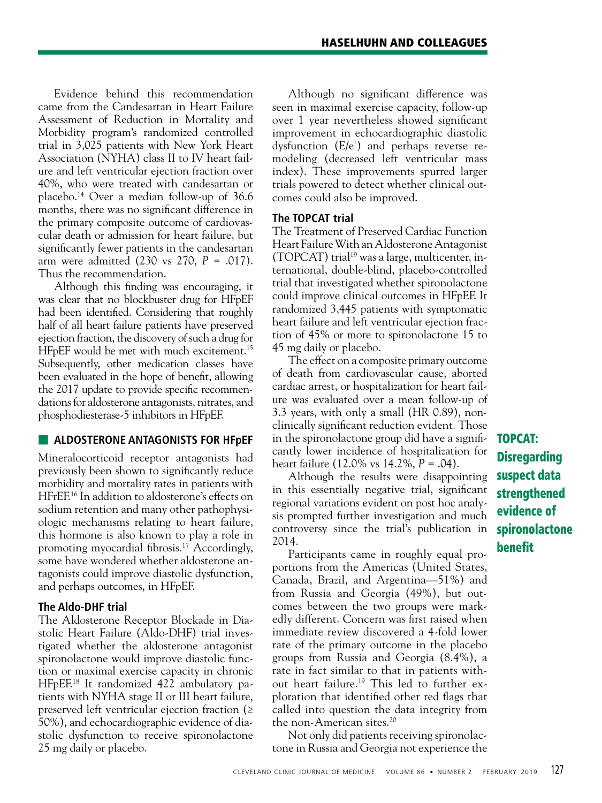Evidence behind this recommendation came from the Candesartan in Heart Failure Assessment of Reduction in Mortality and Morbidity program's randomized controlled trial in 3,025 patients with New York Heart Association (NYHA) class II to IV heart failure and left ventricular ejection fraction over 40%, who were treated with candesartan or placebo.14 Over a median follow-up of 36.6 months, there was no significant difference in the primary composite outcome of cardiovascular death or admission for heart failure, but significantly fewer patients in the candesartan arm were admitted (230 vs 270, *P* = .017). Thus the recommendation.

Although this finding was encouraging, it was clear that no blockbuster drug for HFpEF had been identified. Considering that roughly half of all heart failure patients have preserved ejection fraction, the discovery of such a drug for HFpEF would be met with much excitement.<sup>15</sup> Subsequently, other medication classes have been evaluated in the hope of benefit, allowing the 2017 update to provide specific recommendations for aldosterone antagonists, nitrates, and phosphodiesterase-5 inhibitors in HFpEF.

## **■ ALDOSTERONE ANTAGONISTS FOR HFpEF**

Mineralocorticoid receptor antagonists had previously been shown to significantly reduce morbidity and mortality rates in patients with HFrEF.16 In addition to aldosterone's effects on sodium retention and many other pathophysiologic mechanisms relating to heart failure, this hormone is also known to play a role in promoting myocardial fibrosis.17 Accordingly, some have wondered whether aldosterone antagonists could improve diastolic dysfunction, and perhaps outcomes, in HFpEF.

## **The Aldo-DHF trial**

The Aldosterone Receptor Blockade in Diastolic Heart Failure (Aldo-DHF) trial investigated whether the aldosterone antagonist spironolactone would improve diastolic function or maximal exercise capacity in chronic HFpEF.18 It randomized 422 ambulatory patients with NYHA stage II or III heart failure, preserved left ventricular ejection fraction (≥ 50%), and echocardiographic evidence of diastolic dysfunction to receive spironolactone 25 mg daily or placebo.

Although no significant difference was seen in maximal exercise capacity, follow-up over 1 year nevertheless showed significant improvement in echocardiographic diastolic dysfunction (E/e') and perhaps reverse remodeling (decreased left ventricular mass index). These improvements spurred larger trials powered to detect whether clinical outcomes could also be improved.

## **The TOPCAT trial**

The Treatment of Preserved Cardiac Function Heart Failure With an Aldosterone Antagonist (TOPCAT) trial<sup>19</sup> was a large, multicenter, international, double-blind, placebo-controlled trial that investigated whether spironolactone could improve clinical outcomes in HFpEF. It randomized 3,445 patients with symptomatic heart failure and left ventricular ejection fraction of 45% or more to spironolactone 15 to 45 mg daily or placebo.

The effect on a composite primary outcome of death from cardiovascular cause, aborted cardiac arrest, or hospitalization for heart failure was evaluated over a mean follow-up of 3.3 years, with only a small (HR 0.89), nonclinically significant reduction evident. Those in the spironolactone group did have a significantly lower incidence of hospitalization for heart failure (12.0% vs 14.2%, *P* = .04).

Although the results were disappointing in this essentially negative trial, significant regional variations evident on post hoc analysis prompted further investigation and much controversy since the trial's publication in 2014.

Participants came in roughly equal proportions from the Americas (United States, Canada, Brazil, and Argentina—51%) and from Russia and Georgia (49%), but outcomes between the two groups were markedly different. Concern was first raised when immediate review discovered a 4-fold lower rate of the primary outcome in the placebo groups from Russia and Georgia (8.4%), a rate in fact similar to that in patients without heart failure.19 This led to further exploration that identified other red flags that called into question the data integrity from the non-American sites.<sup>20</sup>

Not only did patients receiving spironolactone in Russia and Georgia not experience the TOPCAT: **Disregarding** suspect data strengthened evidence of spironolactone benefit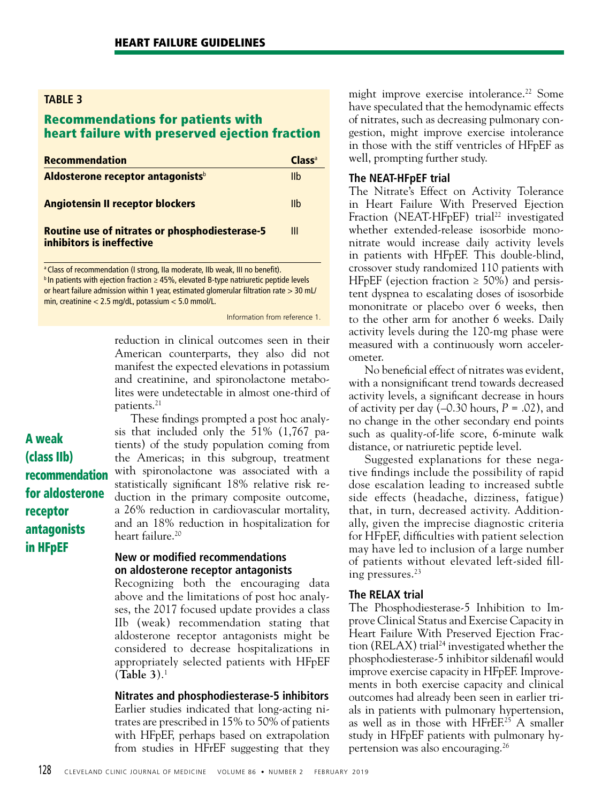## Recommendations for patients with heart failure with preserved ejection fraction

| <b>Recommendation</b>                                                              | Cl <sub>ASS</sub> |
|------------------------------------------------------------------------------------|-------------------|
| Aldosterone receptor antagonists <sup>b</sup>                                      | Ilb               |
| <b>Angiotensin II receptor blockers</b>                                            | I <sub>1</sub>    |
| <b>Routine use of nitrates or phosphodiesterase-5</b><br>inhibitors is ineffective | Ш                 |

<sup>a</sup> Class of recommendation (I strong, IIa moderate, IIb weak, III no benefit). b In patients with ejection fraction ≥ 45%, elevated B-type natriuretic peptide levels or heart failure admission within 1 year, estimated glomerular filtration rate  $> 30$  mL/ min, creatinine < 2.5 mg/dL, potassium < 5.0 mmol/L.

#### Information from reference 1.

reduction in clinical outcomes seen in their American counterparts, they also did not manifest the expected elevations in potassium and creatinine, and spironolactone metabolites were undetectable in almost one-third of patients.21

A weak (class IIb) recommendation for aldosterone receptor antagonists in HFpEF

These findings prompted a post hoc analysis that included only the 51% (1,767 patients) of the study population coming from the Americas; in this subgroup, treatment with spironolactone was associated with a statistically significant 18% relative risk reduction in the primary composite outcome, a 26% reduction in cardiovascular mortality, and an 18% reduction in hospitalization for heart failure.<sup>20</sup>

## **New or modified recommendations on aldosterone receptor antagonists**

Recognizing both the encouraging data above and the limitations of post hoc analyses, the 2017 focused update provides a class IIb (weak) recommendation stating that aldosterone receptor antagonists might be considered to decrease hospitalizations in appropriately selected patients with HFpEF (**Table 3**).1

**Nitrates and phosphodiesterase-5 inhibitors**

Earlier studies indicated that long-acting nitrates are prescribed in 15% to 50% of patients with HFpEF, perhaps based on extrapolation from studies in HFrEF suggesting that they might improve exercise intolerance.<sup>22</sup> Some have speculated that the hemodynamic effects of nitrates, such as decreasing pulmonary congestion, might improve exercise intolerance in those with the stiff ventricles of HFpEF as well, prompting further study.

## **The NEAT-HFpEF trial**

The Nitrate's Effect on Activity Tolerance in Heart Failure With Preserved Ejection Fraction (NEAT-HFpEF) trial<sup>22</sup> investigated whether extended-release isosorbide mononitrate would increase daily activity levels in patients with HFpEF. This double-blind, crossover study randomized 110 patients with HFpEF (ejection fraction  $\geq 50\%$ ) and persistent dyspnea to escalating doses of isosorbide mononitrate or placebo over 6 weeks, then to the other arm for another 6 weeks. Daily activity levels during the 120-mg phase were measured with a continuously worn accelerometer.

No beneficial effect of nitrates was evident, with a nonsignificant trend towards decreased activity levels, a significant decrease in hours of activity per day  $(-0.30 \text{ hours}, P = .02)$ , and no change in the other secondary end points such as quality-of-life score, 6-minute walk distance, or natriuretic peptide level.

Suggested explanations for these negative findings include the possibility of rapid dose escalation leading to increased subtle side effects (headache, dizziness, fatigue) that, in turn, decreased activity. Additionally, given the imprecise diagnostic criteria for HFpEF, difficulties with patient selection may have led to inclusion of a large number of patients without elevated left-sided filling pressures.23

## **The RELAX trial**

The Phosphodiesterase-5 Inhibition to Improve Clinical Status and Exercise Capacity in Heart Failure With Preserved Ejection Fraction (RELAX) trial<sup>24</sup> investigated whether the phosphodiesterase-5 inhibitor sildenafil would improve exercise capacity in HFpEF. Improvements in both exercise capacity and clinical outcomes had already been seen in earlier trials in patients with pulmonary hypertension, as well as in those with HFrEF.<sup>25</sup> A smaller study in HFpEF patients with pulmonary hypertension was also encouraging.26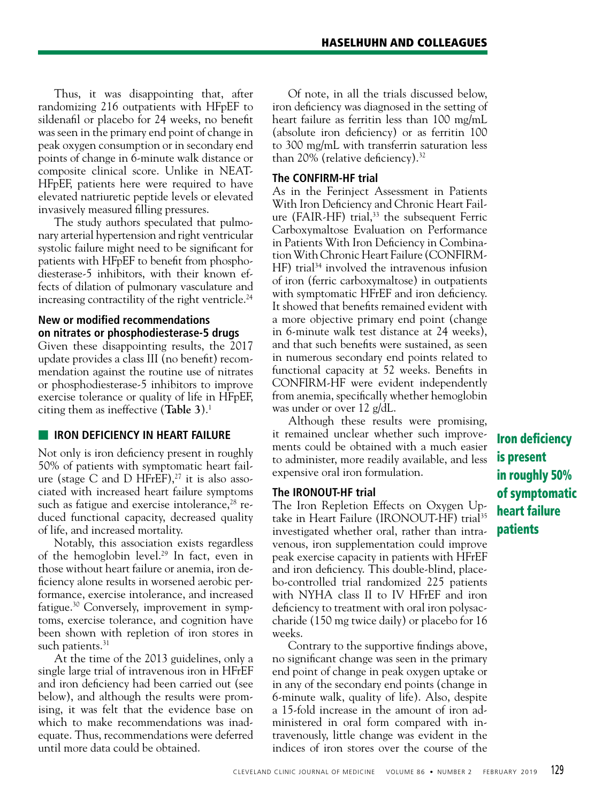Thus, it was disappointing that, after randomizing 216 outpatients with HFpEF to sildenafil or placebo for 24 weeks, no benefit was seen in the primary end point of change in peak oxygen consumption or in secondary end points of change in 6-minute walk distance or composite clinical score. Unlike in NEAT-HFpEF, patients here were required to have elevated natriuretic peptide levels or elevated invasively measured filling pressures.

The study authors speculated that pulmonary arterial hypertension and right ventricular systolic failure might need to be significant for patients with HFpEF to benefit from phosphodiesterase-5 inhibitors, with their known effects of dilation of pulmonary vasculature and increasing contractility of the right ventricle.<sup>24</sup>

## **New or modified recommendations on nitrates or phosphodiesterase-5 drugs**

Given these disappointing results, the 2017 update provides a class III (no benefit) recommendation against the routine use of nitrates or phosphodiesterase-5 inhibitors to improve exercise tolerance or quality of life in HFpEF, citing them as ineffective (**Table 3**).1

## **IRON DEFICIENCY IN HEART FAILURE**

Not only is iron deficiency present in roughly 50% of patients with symptomatic heart failure (stage C and D HFrEF), $27$  it is also associated with increased heart failure symptoms such as fatigue and exercise intolerance, $28$  reduced functional capacity, decreased quality of life, and increased mortality.

Notably, this association exists regardless of the hemoglobin level.29 In fact, even in those without heart failure or anemia, iron deficiency alone results in worsened aerobic performance, exercise intolerance, and increased fatigue.30 Conversely, improvement in symptoms, exercise tolerance, and cognition have been shown with repletion of iron stores in such patients.<sup>31</sup>

At the time of the 2013 guidelines, only a single large trial of intravenous iron in HFrEF and iron deficiency had been carried out (see below), and although the results were promising, it was felt that the evidence base on which to make recommendations was inadequate. Thus, recommendations were deferred until more data could be obtained.

Of note, in all the trials discussed below, iron deficiency was diagnosed in the setting of heart failure as ferritin less than 100 mg/mL (absolute iron deficiency) or as ferritin 100 to 300 mg/mL with transferrin saturation less than 20% (relative deficiency).32

## **The CONFIRM-HF trial**

As in the Ferinject Assessment in Patients With Iron Deficiency and Chronic Heart Failure (FAIR-HF) trial, $33$  the subsequent Ferric Carboxymaltose Evaluation on Performance in Patients With Iron Deficiency in Combination With Chronic Heart Failure (CONFIRM-HF) trial<sup>34</sup> involved the intravenous infusion of iron (ferric carboxymaltose) in outpatients with symptomatic HFrEF and iron deficiency. It showed that benefits remained evident with a more objective primary end point (change in 6-minute walk test distance at 24 weeks), and that such benefits were sustained, as seen in numerous secondary end points related to functional capacity at 52 weeks. Benefits in CONFIRM-HF were evident independently from anemia, specifically whether hemoglobin was under or over 12 g/dL.

Although these results were promising, it remained unclear whether such improvements could be obtained with a much easier to administer, more readily available, and less expensive oral iron formulation.

## **The IRONOUT-HF trial**

The Iron Repletion Effects on Oxygen Uptake in Heart Failure (IRONOUT-HF) trial<sup>35</sup> investigated whether oral, rather than intravenous, iron supplementation could improve peak exercise capacity in patients with HFrEF and iron deficiency. This double-blind, placebo-controlled trial randomized 225 patients with NYHA class II to IV HFrEF and iron deficiency to treatment with oral iron polysaccharide (150 mg twice daily) or placebo for 16 weeks.

Contrary to the supportive findings above, no significant change was seen in the primary end point of change in peak oxygen uptake or in any of the secondary end points (change in 6-minute walk, quality of life). Also, despite a 15-fold increase in the amount of iron administered in oral form compared with intravenously, little change was evident in the indices of iron stores over the course of the

Iron deficiency is present in roughly 50% of symptomatic heart failure patients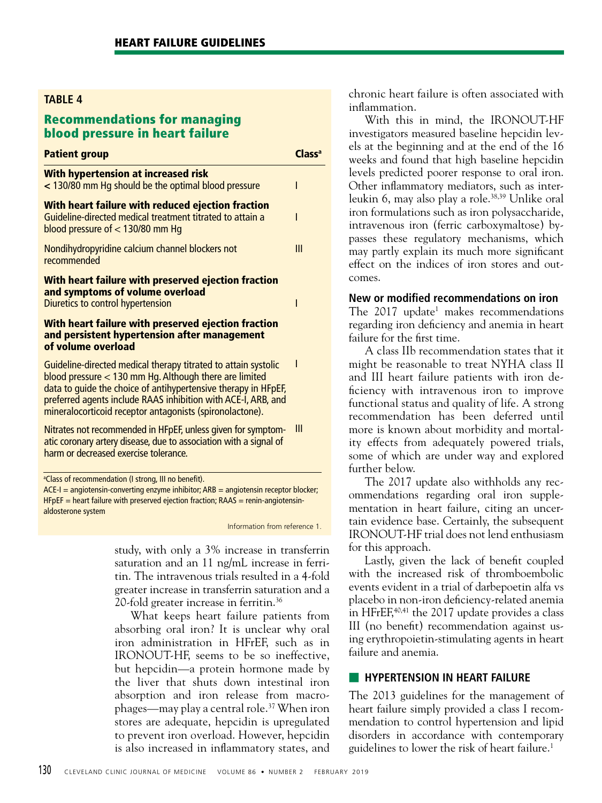## Recommendations for managing blood pressure in heart failure

| <b>Patient group</b>                                                                                                                                 | cca |
|------------------------------------------------------------------------------------------------------------------------------------------------------|-----|
| With hypertension at increased risk<br>< 130/80 mm Hq should be the optimal blood pressure                                                           |     |
| With heart failure with reduced ejection fraction<br>Guideline-directed medical treatment titrated to attain a<br>blood pressure of $<$ 130/80 mm Hq |     |
| Nondihydropyridine calcium channel blockers not<br>recommended                                                                                       | Ш   |
| With heart failure with preserved ejection fraction<br>and symptoms of volume overload<br>Diuretics to control hypertension                          |     |
| With heart failure with preserved ejection fraction<br>and persistent hypertension after management<br>of volume overload                            |     |

Guideline-directed medical therapy titrated to attain systolic blood pressure < 130 mm Hg. Although there are limited data to guide the choice of antihypertensive therapy in HFpEF, preferred agents include RAAS inhibition with ACE-I, ARB, and mineralocorticoid receptor antagonists (spironolactone).

Nitrates not recommended in HFpEF, unless given for symptom-III atic coronary artery disease, due to association with a signal of harm or decreased exercise tolerance.

<sup>a</sup>Class of recommendation (I strong, III no benefit).

 $ACE-I = angiotensin-converting enzyme inhibitor; ARB = angiotensin receptor blocker;$  $HFPEF =$  heart failure with preserved ejection fraction; RAAS = renin-angiotensinaldosterone system

Information from reference 1.

I

study, with only a 3% increase in transferrin saturation and an 11 ng/mL increase in ferritin. The intravenous trials resulted in a 4-fold greater increase in transferrin saturation and a 20-fold greater increase in ferritin.36

What keeps heart failure patients from absorbing oral iron? It is unclear why oral iron administration in HFrEF, such as in IRONOUT-HF, seems to be so ineffective, but hepcidin—a protein hormone made by the liver that shuts down intestinal iron absorption and iron release from macrophages—may play a central role.37 When iron stores are adequate, hepcidin is upregulated to prevent iron overload. However, hepcidin is also increased in inflammatory states, and chronic heart failure is often associated with inflammation.

With this in mind, the IRONOUT-HF investigators measured baseline hepcidin levels at the beginning and at the end of the 16 weeks and found that high baseline hepcidin levels predicted poorer response to oral iron. Other inflammatory mediators, such as interleukin 6, may also play a role.<sup>38,39</sup> Unlike oral iron formulations such as iron polysaccharide, intravenous iron (ferric carboxymaltose) bypasses these regulatory mechanisms, which may partly explain its much more significant effect on the indices of iron stores and outcomes.

## **New or modified recommendations on iron**

The 2017 update<sup>1</sup> makes recommendations regarding iron deficiency and anemia in heart failure for the first time.

A class IIb recommendation states that it might be reasonable to treat NYHA class II and III heart failure patients with iron deficiency with intravenous iron to improve functional status and quality of life. A strong recommendation has been deferred until more is known about morbidity and mortality effects from adequately powered trials, some of which are under way and explored further below.

The 2017 update also withholds any recommendations regarding oral iron supplementation in heart failure, citing an uncertain evidence base. Certainly, the subsequent IRONOUT-HF trial does not lend enthusiasm for this approach.

Lastly, given the lack of benefit coupled with the increased risk of thromboembolic events evident in a trial of darbepoetin alfa vs placebo in non-iron deficiency-related anemia in HFrEF,<sup>40,41</sup> the 2017 update provides a class III (no benefit) recommendation against using erythropoietin-stimulating agents in heart failure and anemia.

## **EXTENSION IN HEART FAILURE**

The 2013 guidelines for the management of heart failure simply provided a class I recommendation to control hypertension and lipid disorders in accordance with contemporary guidelines to lower the risk of heart failure.<sup>1</sup>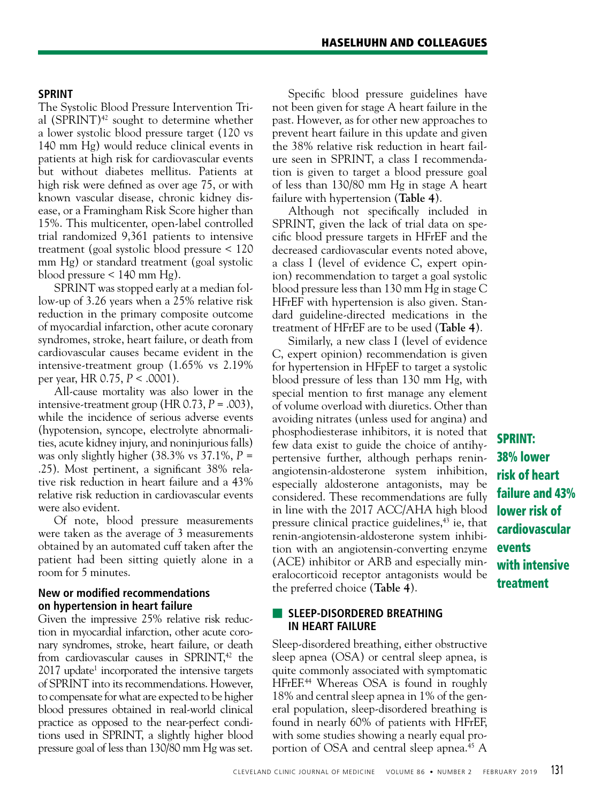## **SPRINT**

The Systolic Blood Pressure Intervention Trial  $(SPRINT)^{42}$  sought to determine whether a lower systolic blood pressure target (120 vs 140 mm Hg) would reduce clinical events in patients at high risk for cardiovascular events but without diabetes mellitus. Patients at high risk were defined as over age 75, or with known vascular disease, chronic kidney disease, or a Framingham Risk Score higher than 15%. This multicenter, open-label controlled trial randomized 9,361 patients to intensive treatment (goal systolic blood pressure < 120 mm Hg) or standard treatment (goal systolic blood pressure < 140 mm Hg).

SPRINT was stopped early at a median follow-up of 3.26 years when a 25% relative risk reduction in the primary composite outcome of myocardial infarction, other acute coronary syndromes, stroke, heart failure, or death from cardiovascular causes became evident in the intensive-treatment group (1.65% vs 2.19% per year, HR 0.75, *P* < .0001).

All-cause mortality was also lower in the intensive-treatment group (HR  $0.73$ ,  $P = .003$ ), while the incidence of serious adverse events (hypotension, syncope, electrolyte abnormalities, acute kidney injury, and noninjurious falls) was only slightly higher (38.3% vs 37.1%, *P* = .25). Most pertinent, a significant 38% relative risk reduction in heart failure and a 43% relative risk reduction in cardiovascular events were also evident.

Of note, blood pressure measurements were taken as the average of 3 measurements obtained by an automated cuff taken after the patient had been sitting quietly alone in a room for 5 minutes.

## **New or modified recommendations on hypertension in heart failure**

Given the impressive 25% relative risk reduction in myocardial infarction, other acute coronary syndromes, stroke, heart failure, or death from cardiovascular causes in SPRINT, $42$  the 2017 update<sup>1</sup> incorporated the intensive targets of SPRINT into its recommendations. However, to compensate for what are expected to be higher blood pressures obtained in real-world clinical practice as opposed to the near-perfect conditions used in SPRINT, a slightly higher blood pressure goal of less than 130/80 mm Hg was set.

Specific blood pressure guidelines have not been given for stage A heart failure in the past. However, as for other new approaches to prevent heart failure in this update and given the 38% relative risk reduction in heart failure seen in SPRINT, a class I recommendation is given to target a blood pressure goal of less than 130/80 mm Hg in stage A heart failure with hypertension (**Table 4**).

Although not specifically included in SPRINT, given the lack of trial data on specific blood pressure targets in HFrEF and the decreased cardiovascular events noted above, a class I (level of evidence C, expert opinion) recommendation to target a goal systolic blood pressure less than 130 mm Hg in stage C HFrEF with hypertension is also given. Standard guideline-directed medications in the treatment of HFrEF are to be used (**Table 4**).

Similarly, a new class I (level of evidence C, expert opinion) recommendation is given for hypertension in HFpEF to target a systolic blood pressure of less than 130 mm Hg, with special mention to first manage any element of volume overload with diuretics. Other than avoiding nitrates (unless used for angina) and phosphodiesterase inhibitors, it is noted that few data exist to guide the choice of antihypertensive further, although perhaps reninangiotensin-aldosterone system inhibition, especially aldosterone antagonists, may be considered. These recommendations are fully in line with the 2017 ACC/AHA high blood pressure clinical practice guidelines, $43$  ie, that renin-angiotensin-aldosterone system inhibition with an angiotensin-converting enzyme (ACE) inhibitor or ARB and especially mineralocorticoid receptor antagonists would be the preferred choice (**Table 4**).

## ■ **SLEEP-DISORDERED BREATHING IN HEART FAILURE**

Sleep-disordered breathing, either obstructive sleep apnea (OSA) or central sleep apnea, is quite commonly associated with symptomatic HFrEF.<sup>44</sup> Whereas OSA is found in roughly 18% and central sleep apnea in 1% of the general population, sleep-disordered breathing is found in nearly 60% of patients with HFrEF, with some studies showing a nearly equal proportion of OSA and central sleep apnea.<sup>45</sup> A

SPRINT: 38% lower risk of heart failure and 43% lower risk of cardiovascular events with intensive treatment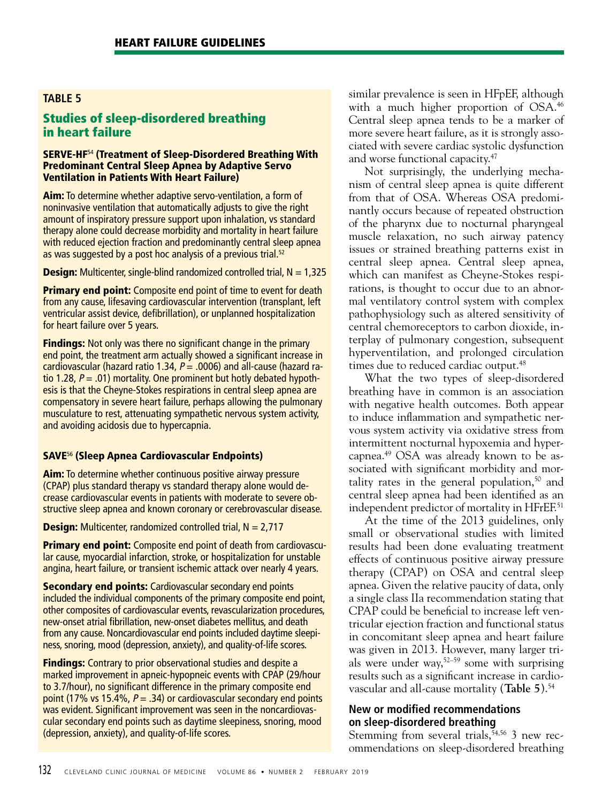# Studies of sleep-disordered breathing in heart failure

#### SERVE-HF<sup>54</sup> (Treatment of Sleep-Disordered Breathing With Predominant Central Sleep Apnea by Adaptive Servo Ventilation in Patients With Heart Failure)

Aim: To determine whether adaptive servo-ventilation, a form of noninvasive ventilation that automatically adjusts to give the right amount of inspiratory pressure support upon inhalation, vs standard therapy alone could decrease morbidity and mortality in heart failure with reduced ejection fraction and predominantly central sleep apnea as was suggested by a post hoc analysis of a previous trial.<sup>52</sup>

**Design:** Multicenter, single-blind randomized controlled trial,  $N = 1,325$ 

**Primary end point:** Composite end point of time to event for death from any cause, lifesaving cardiovascular intervention (transplant, left ventricular assist device, defibrillation), or unplanned hospitalization for heart failure over 5 years.

**Findings:** Not only was there no significant change in the primary end point, the treatment arm actually showed a significant increase in cardiovascular (hazard ratio 1.34,  $P = .0006$ ) and all-cause (hazard ratio 1.28,  $P = .01$ ) mortality. One prominent but hotly debated hypothesis is that the Cheyne-Stokes respirations in central sleep apnea are compensatory in severe heart failure, perhaps allowing the pulmonary musculature to rest, attenuating sympathetic nervous system activity, and avoiding acidosis due to hypercapnia.

## SAVE<sup>56</sup> (Sleep Apnea Cardiovascular Endpoints)

Aim: To determine whether continuous positive airway pressure (CPAP) plus standard therapy vs standard therapy alone would decrease cardiovascular events in patients with moderate to severe obstructive sleep apnea and known coronary or cerebrovascular disease.

**Design:** Multicenter, randomized controlled trial,  $N = 2.717$ 

**Primary end point:** Composite end point of death from cardiovascular cause, myocardial infarction, stroke, or hospitalization for unstable angina, heart failure, or transient ischemic attack over nearly 4 years.

**Secondary end points:** Cardiovascular secondary end points included the individual components of the primary composite end point, other composites of cardiovascular events, revascularization procedures, new-onset atrial fibrillation, new-onset diabetes mellitus, and death from any cause. Noncardiovascular end points included daytime sleepiness, snoring, mood (depression, anxiety), and quality-of-life scores.

**Findings:** Contrary to prior observational studies and despite a marked improvement in apneic-hypopneic events with CPAP (29/hour to 3.7/hour), no significant difference in the primary composite end point (17% vs 15.4%,  $P = .34$ ) or cardiovascular secondary end points was evident. Significant improvement was seen in the noncardiovascular secondary end points such as daytime sleepiness, snoring, mood (depression, anxiety), and quality-of-life scores.

similar prevalence is seen in HFpEF, although with a much higher proportion of OSA.<sup>46</sup> Central sleep apnea tends to be a marker of more severe heart failure, as it is strongly associated with severe cardiac systolic dysfunction and worse functional capacity.47

Not surprisingly, the underlying mechanism of central sleep apnea is quite different from that of OSA. Whereas OSA predominantly occurs because of repeated obstruction of the pharynx due to nocturnal pharyngeal muscle relaxation, no such airway patency issues or strained breathing patterns exist in central sleep apnea. Central sleep apnea, which can manifest as Cheyne-Stokes respirations, is thought to occur due to an abnormal ventilatory control system with complex pathophysiology such as altered sensitivity of central chemoreceptors to carbon dioxide, interplay of pulmonary congestion, subsequent hyperventilation, and prolonged circulation times due to reduced cardiac output.<sup>48</sup>

What the two types of sleep-disordered breathing have in common is an association with negative health outcomes. Both appear to induce inflammation and sympathetic nervous system activity via oxidative stress from intermittent nocturnal hypoxemia and hypercapnea.49 OSA was already known to be associated with significant morbidity and mortality rates in the general population,<sup>50</sup> and central sleep apnea had been identified as an independent predictor of mortality in HFrEF.<sup>51</sup>

At the time of the 2013 guidelines, only small or observational studies with limited results had been done evaluating treatment effects of continuous positive airway pressure therapy (CPAP) on OSA and central sleep apnea. Given the relative paucity of data, only a single class IIa recommendation stating that CPAP could be beneficial to increase left ventricular ejection fraction and functional status in concomitant sleep apnea and heart failure was given in 2013. However, many larger trials were under way,52–59 some with surprising results such as a significant increase in cardiovascular and all-cause mortality (**Table 5**).54

## **New or modified recommendations on sleep-disordered breathing**

Stemming from several trials,  $\overline{5}4,56$  3 new recommendations on sleep-disordered breathing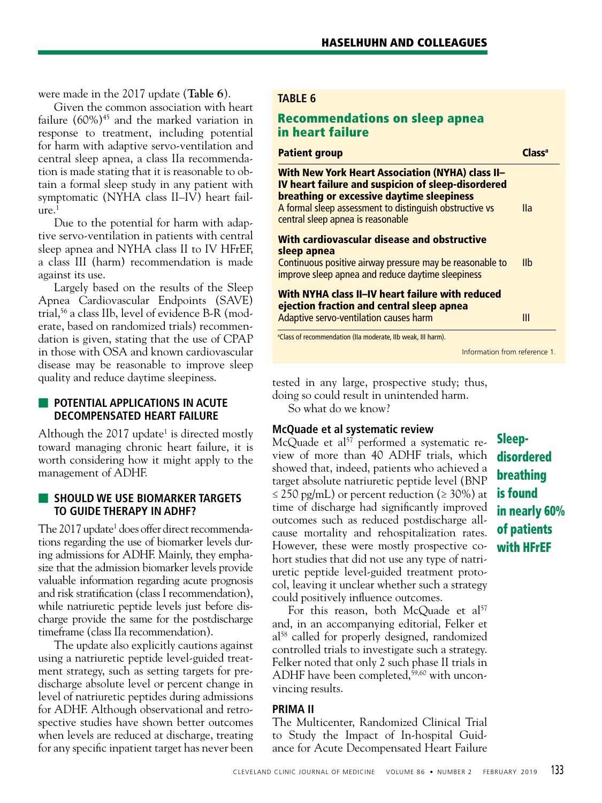were made in the 2017 update (**Table 6**).

Given the common association with heart failure  $(60\%)$ <sup>45</sup> and the marked variation in response to treatment, including potential for harm with adaptive servo-ventilation and central sleep apnea, a class IIa recommendation is made stating that it is reasonable to obtain a formal sleep study in any patient with symptomatic (NYHA class II–IV) heart fail $ure.<sup>1</sup>$ 

Due to the potential for harm with adaptive servo-ventilation in patients with central sleep apnea and NYHA class II to IV HFrEF, a class III (harm) recommendation is made against its use.

Largely based on the results of the Sleep Apnea Cardiovascular Endpoints (SAVE) trial,56 a class IIb, level of evidence B-R (moderate, based on randomized trials) recommendation is given, stating that the use of CPAP in those with OSA and known cardiovascular disease may be reasonable to improve sleep quality and reduce daytime sleepiness.

## **E** POTENTIAL APPLICATIONS IN ACUTE **DECOMPENSATED HEART FAILURE**

Although the  $2017$  update<sup>1</sup> is directed mostly toward managing chronic heart failure, it is worth considering how it might apply to the management of ADHF.

## ■ **SHOULD WE USE BIOMARKER TARGETS TO GUIDE THERAPY IN ADHF?**

The 2017 update<sup>1</sup> does offer direct recommendations regarding the use of biomarker levels during admissions for ADHF. Mainly, they emphasize that the admission biomarker levels provide valuable information regarding acute prognosis and risk stratification (class I recommendation), while natriuretic peptide levels just before discharge provide the same for the postdischarge timeframe (class IIa recommendation).

The update also explicitly cautions against using a natriuretic peptide level-guided treatment strategy, such as setting targets for predischarge absolute level or percent change in level of natriuretic peptides during admissions for ADHF. Although observational and retrospective studies have shown better outcomes when levels are reduced at discharge, treating for any specific inpatient target has never been

#### **TABLE 6**

# Recommendations on sleep apnea in heart failure

| <b>Patient group</b>                                                                                                                                                                                                                                       | lacca |
|------------------------------------------------------------------------------------------------------------------------------------------------------------------------------------------------------------------------------------------------------------|-------|
| <b>With New York Heart Association (NYHA) class II-</b><br>IV heart failure and suspicion of sleep-disordered<br>breathing or excessive daytime sleepiness<br>A formal sleep assessment to distinguish obstructive vs<br>central sleep apnea is reasonable | lla   |
| With cardiovascular disease and obstructive<br>sleep apnea<br>Continuous positive airway pressure may be reasonable to<br>improve sleep apnea and reduce daytime sleepiness                                                                                | Ilb   |
| With NYHA class II-IV heart failure with reduced<br>ejection fraction and central sleep apnea<br>Adaptive servo-ventilation causes harm                                                                                                                    | Ш     |
| <sup>a</sup> Class of recommendation (IIa moderate, IIb weak, III harm).                                                                                                                                                                                   |       |

Information from reference 1.

tested in any large, prospective study; thus, doing so could result in unintended harm.

So what do we know?

## **McQuade et al systematic review**

McQuade et  $al^{57}$  performed a systematic review of more than 40 ADHF trials, which showed that, indeed, patients who achieved a target absolute natriuretic peptide level (BNP  $\leq$  250 pg/mL) or percent reduction ( $\geq$  30%) at time of discharge had significantly improved outcomes such as reduced postdischarge allcause mortality and rehospitalization rates. However, these were mostly prospective cohort studies that did not use any type of natriuretic peptide level-guided treatment protocol, leaving it unclear whether such a strategy could positively influence outcomes.

For this reason, both McQuade et al<sup>57</sup> and, in an accompanying editorial, Felker et al<sup>58</sup> called for properly designed, randomized controlled trials to investigate such a strategy. Felker noted that only 2 such phase II trials in ADHF have been completed,<sup>59,60</sup> with unconvincing results.

## **PRIMA II**

The Multicenter, Randomized Clinical Trial to Study the Impact of In-hospital Guidance for Acute Decompensated Heart Failure

Sleepdisordered breathing is found in nearly 60% of patients with HFrEF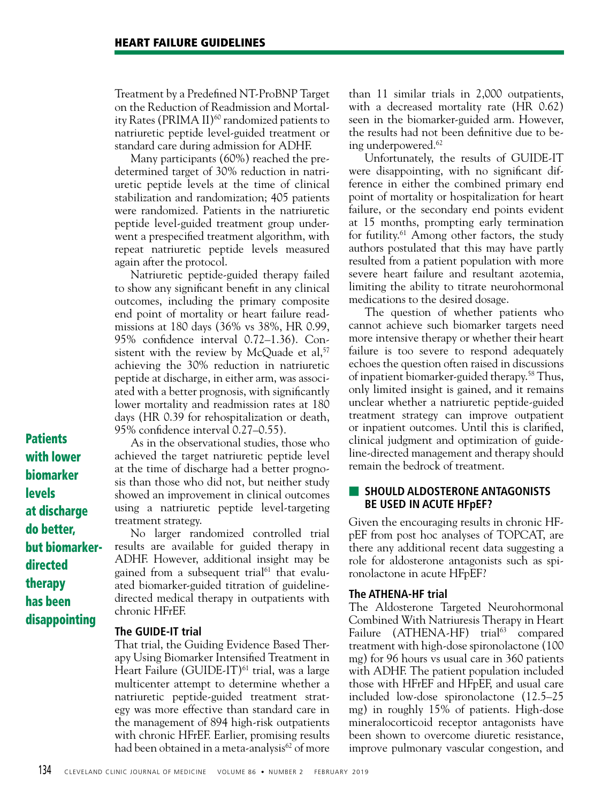Treatment by a Predefined NT-ProBNP Target on the Reduction of Readmission and Mortality Rates (PRIMA II)<sup>60</sup> randomized patients to natriuretic peptide level-guided treatment or standard care during admission for ADHF.

Many participants (60%) reached the predetermined target of 30% reduction in natriuretic peptide levels at the time of clinical stabilization and randomization; 405 patients were randomized. Patients in the natriuretic peptide level-guided treatment group underwent a prespecified treatment algorithm, with repeat natriuretic peptide levels measured again after the protocol.

Natriuretic peptide-guided therapy failed to show any significant benefit in any clinical outcomes, including the primary composite end point of mortality or heart failure readmissions at 180 days (36% vs 38%, HR 0.99, 95% confidence interval 0.72–1.36). Consistent with the review by McQuade et al, $57$ achieving the 30% reduction in natriuretic peptide at discharge, in either arm, was associated with a better prognosis, with significantly lower mortality and readmission rates at 180 days (HR 0.39 for rehospitalization or death, 95% confidence interval 0.27–0.55).

**Patients** with lower biomarker levels at discharge do better, but biomarkerdirected therapy has been disappointing

As in the observational studies, those who achieved the target natriuretic peptide level at the time of discharge had a better prognosis than those who did not, but neither study showed an improvement in clinical outcomes using a natriuretic peptide level-targeting treatment strategy.

No larger randomized controlled trial results are available for guided therapy in ADHF. However, additional insight may be gained from a subsequent trial<sup>61</sup> that evaluated biomarker-guided titration of guidelinedirected medical therapy in outpatients with chronic HFrEF.

#### **The GUIDE-IT trial**

That trial, the Guiding Evidence Based Therapy Using Biomarker Intensified Treatment in Heart Failure (GUIDE-IT)<sup>61</sup> trial, was a large multicenter attempt to determine whether a natriuretic peptide-guided treatment strategy was more effective than standard care in the management of 894 high-risk outpatients with chronic HFrEF. Earlier, promising results had been obtained in a meta-analysis<sup>62</sup> of more than 11 similar trials in 2,000 outpatients, with a decreased mortality rate (HR 0.62) seen in the biomarker-guided arm. However, the results had not been definitive due to being underpowered.62

Unfortunately, the results of GUIDE-IT were disappointing, with no significant difference in either the combined primary end point of mortality or hospitalization for heart failure, or the secondary end points evident at 15 months, prompting early termination for futility.61 Among other factors, the study authors postulated that this may have partly resulted from a patient population with more severe heart failure and resultant azotemia, limiting the ability to titrate neurohormonal medications to the desired dosage.

The question of whether patients who cannot achieve such biomarker targets need more intensive therapy or whether their heart failure is too severe to respond adequately echoes the question often raised in discussions of inpatient biomarker-guided therapy.58 Thus, only limited insight is gained, and it remains unclear whether a natriuretic peptide-guided treatment strategy can improve outpatient or inpatient outcomes. Until this is clarified, clinical judgment and optimization of guideline-directed management and therapy should remain the bedrock of treatment.

## ■ **SHOULD ALDOSTERONE ANTAGONISTS BE USED IN ACUTE HFpEF?**

Given the encouraging results in chronic HFpEF from post hoc analyses of TOPCAT, are there any additional recent data suggesting a role for aldosterone antagonists such as spironolactone in acute HFpEF?

## **The ATHENA-HF trial**

The Aldosterone Targeted Neurohormonal Combined With Natriuresis Therapy in Heart Failure (ATHENA-HF) trial<sup>63</sup> compared treatment with high-dose spironolactone (100 mg) for 96 hours vs usual care in 360 patients with ADHF. The patient population included those with HFrEF and HFpEF, and usual care included low-dose spironolactone (12.5–25 mg) in roughly 15% of patients. High-dose mineralocorticoid receptor antagonists have been shown to overcome diuretic resistance, improve pulmonary vascular congestion, and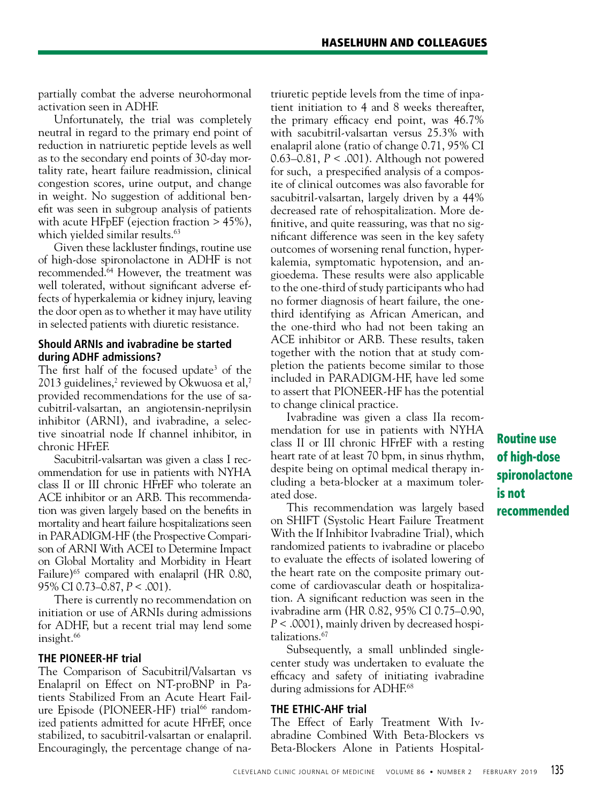partially combat the adverse neurohormonal activation seen in ADHF.

Unfortunately, the trial was completely neutral in regard to the primary end point of reduction in natriuretic peptide levels as well as to the secondary end points of 30-day mortality rate, heart failure readmission, clinical congestion scores, urine output, and change in weight. No suggestion of additional benefit was seen in subgroup analysis of patients with acute HFpEF (ejection fraction > 45%), which yielded similar results.<sup>63</sup>

Given these lackluster findings, routine use of high-dose spironolactone in ADHF is not recommended.64 However, the treatment was well tolerated, without significant adverse effects of hyperkalemia or kidney injury, leaving the door open as to whether it may have utility in selected patients with diuretic resistance.

## **Should ARNIs and ivabradine be started during ADHF admissions?**

The first half of the focused update<sup>3</sup> of the 2013 guidelines,<sup>2</sup> reviewed by Okwuosa et al,<sup>7</sup> provided recommendations for the use of sacubitril-valsartan, an angiotensin-neprilysin inhibitor (ARNI), and ivabradine, a selective sinoatrial node If channel inhibitor, in chronic HFrEF.

Sacubitril-valsartan was given a class I recommendation for use in patients with NYHA class II or III chronic HFrEF who tolerate an ACE inhibitor or an ARB. This recommendation was given largely based on the benefits in mortality and heart failure hospitalizations seen in PARADIGM-HF (the Prospective Comparison of ARNI With ACEI to Determine Impact on Global Mortality and Morbidity in Heart Failure)<sup>65</sup> compared with enalapril (HR 0.80, 95% CI 0.73–0.87, *P* < .001).

There is currently no recommendation on initiation or use of ARNIs during admissions for ADHF, but a recent trial may lend some insight.<sup>66</sup>

## **THE PIONEER-HF trial**

The Comparison of Sacubitril/Valsartan vs Enalapril on Effect on NT-proBNP in Patients Stabilized From an Acute Heart Failure Episode (PIONEER-HF) trial<sup>66</sup> randomized patients admitted for acute HFrEF, once stabilized, to sacubitril-valsartan or enalapril. Encouragingly, the percentage change of natriuretic peptide levels from the time of inpatient initiation to 4 and 8 weeks thereafter, the primary efficacy end point, was 46.7% with sacubitril-valsartan versus 25.3% with enalapril alone (ratio of change 0.71, 95% CI 0.63–0.81, *P* < .001). Although not powered for such, a prespecified analysis of a composite of clinical outcomes was also favorable for sacubitril-valsartan, largely driven by a 44% decreased rate of rehospitalization. More definitive, and quite reassuring, was that no significant difference was seen in the key safety outcomes of worsening renal function, hyperkalemia, symptomatic hypotension, and angioedema. These results were also applicable to the one-third of study participants who had no former diagnosis of heart failure, the onethird identifying as African American, and the one-third who had not been taking an ACE inhibitor or ARB. These results, taken together with the notion that at study completion the patients become similar to those included in PARADIGM-HF, have led some to assert that PIONEER-HF has the potential to change clinical practice.

Ivabradine was given a class IIa recommendation for use in patients with NYHA class II or III chronic HFrEF with a resting heart rate of at least 70 bpm, in sinus rhythm, despite being on optimal medical therapy including a beta-blocker at a maximum tolerated dose.

This recommendation was largely based on SHIFT (Systolic Heart Failure Treatment With the If Inhibitor Ivabradine Trial), which randomized patients to ivabradine or placebo to evaluate the effects of isolated lowering of the heart rate on the composite primary outcome of cardiovascular death or hospitalization. A significant reduction was seen in the ivabradine arm (HR 0.82, 95% CI 0.75–0.90, *P* < .0001), mainly driven by decreased hospitalizations.67

Subsequently, a small unblinded singlecenter study was undertaken to evaluate the efficacy and safety of initiating ivabradine during admissions for ADHF.<sup>68</sup>

## **THE ETHIC-AHF trial**

The Effect of Early Treatment With Ivabradine Combined With Beta-Blockers vs Beta-Blockers Alone in Patients Hospital-

Routine use of high-dose spironolactone is not recommended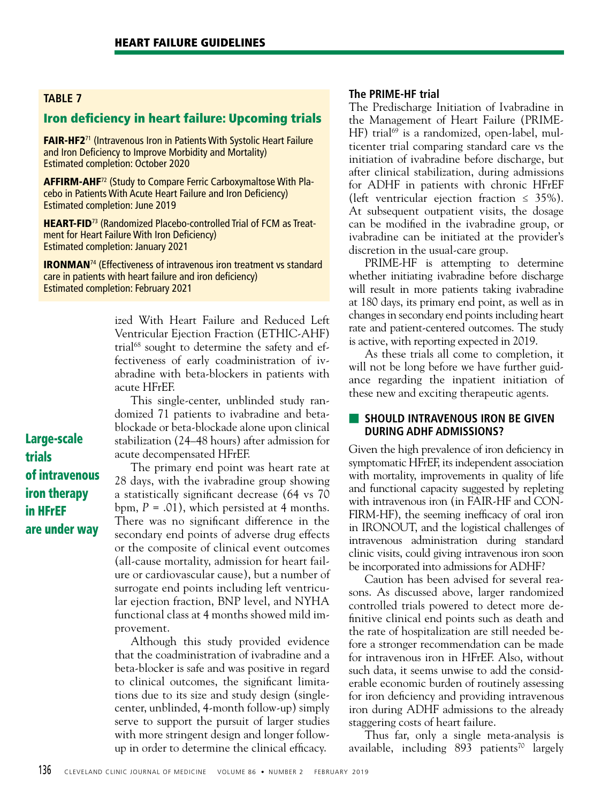## Iron deficiency in heart failure: Upcoming trials

FAIR-HF2<sup>71</sup> (Intravenous Iron in Patients With Systolic Heart Failure and Iron Deficiency to Improve Morbidity and Mortality) Estimated completion: October 2020

AFFIRM-AHF<sup>72</sup> (Study to Compare Ferric Carboxymaltose With Placebo in Patients With Acute Heart Failure and Iron Deficiency) Estimated completion: June 2019

**HEART-FID**<sup>73</sup> (Randomized Placebo-controlled Trial of FCM as Treatment for Heart Failure With Iron Deficiency) Estimated completion: January 2021

IRONMAN74 (Effectiveness of intravenous iron treatment vs standard care in patients with heart failure and iron deficiency) Estimated completion: February 2021

> ized With Heart Failure and Reduced Left Ventricular Ejection Fraction (ETHIC-AHF) trial<sup>68</sup> sought to determine the safety and effectiveness of early coadministration of ivabradine with beta-blockers in patients with acute HFrEF.

This single-center, unblinded study randomized 71 patients to ivabradine and betablockade or beta-blockade alone upon clinical stabilization (24–48 hours) after admission for acute decompensated HFrEF.

The primary end point was heart rate at 28 days, with the ivabradine group showing a statistically significant decrease (64 vs 70 bpm,  $P = .01$ ), which persisted at 4 months. There was no significant difference in the secondary end points of adverse drug effects or the composite of clinical event outcomes (all-cause mortality, admission for heart failure or cardiovascular cause), but a number of surrogate end points including left ventricular ejection fraction, BNP level, and NYHA functional class at 4 months showed mild improvement.

Although this study provided evidence that the coadministration of ivabradine and a beta-blocker is safe and was positive in regard to clinical outcomes, the significant limitations due to its size and study design (singlecenter, unblinded, 4-month follow-up) simply serve to support the pursuit of larger studies with more stringent design and longer followup in order to determine the clinical efficacy.

## **The PRIME-HF trial**

The Predischarge Initiation of Ivabradine in the Management of Heart Failure (PRIME-HF) trial<sup>69</sup> is a randomized, open-label, multicenter trial comparing standard care vs the initiation of ivabradine before discharge, but after clinical stabilization, during admissions for ADHF in patients with chronic HFrEF (left ventricular ejection fraction  $\leq$  35%). At subsequent outpatient visits, the dosage can be modified in the ivabradine group, or ivabradine can be initiated at the provider's discretion in the usual-care group.

PRIME-HF is attempting to determine whether initiating ivabradine before discharge will result in more patients taking ivabradine at 180 days, its primary end point, as well as in changes in secondary end points including heart rate and patient-centered outcomes. The study is active, with reporting expected in 2019.

As these trials all come to completion, it will not be long before we have further guidance regarding the inpatient initiation of these new and exciting therapeutic agents.

## **EXECUTED INTRAVENOUS IRON BE GIVEN DURING ADHF ADMISSIONS?**

Given the high prevalence of iron deficiency in symptomatic HFrEF, its independent association with mortality, improvements in quality of life and functional capacity suggested by repleting with intravenous iron (in FAIR-HF and CON-FIRM-HF), the seeming inefficacy of oral iron in IRONOUT, and the logistical challenges of intravenous administration during standard clinic visits, could giving intravenous iron soon be incorporated into admissions for ADHF?

Caution has been advised for several reasons. As discussed above, larger randomized controlled trials powered to detect more definitive clinical end points such as death and the rate of hospitalization are still needed before a stronger recommendation can be made for intravenous iron in HFrEF. Also, without such data, it seems unwise to add the considerable economic burden of routinely assessing for iron deficiency and providing intravenous iron during ADHF admissions to the already staggering costs of heart failure.

Thus far, only a single meta-analysis is available, including  $893$  patients<sup>70</sup> largely

Large-scale trials of intravenous iron therapy in HFrEF are under way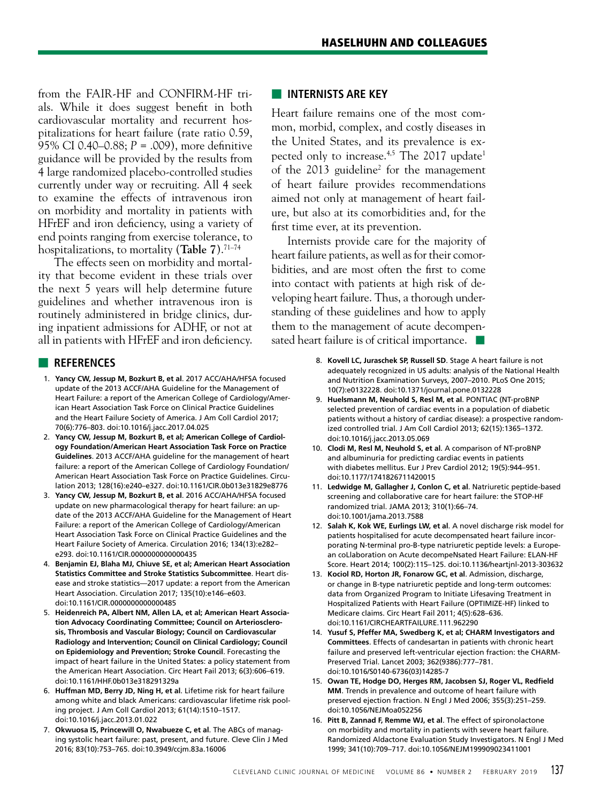from the FAIR-HF and CONFIRM-HF trials. While it does suggest benefit in both cardiovascular mortality and recurrent hospitalizations for heart failure (rate ratio 0.59, 95% CI 0.40–0.88; *P* = .009), more definitive guidance will be provided by the results from 4 large randomized placebo-controlled studies currently under way or recruiting. All 4 seek to examine the effects of intravenous iron on morbidity and mortality in patients with HFrEF and iron deficiency, using a variety of end points ranging from exercise tolerance, to hospitalizations, to mortality (**Table 7**).71–74

The effects seen on morbidity and mortality that become evident in these trials over the next 5 years will help determine future guidelines and whether intravenous iron is routinely administered in bridge clinics, during inpatient admissions for ADHF, or not at all in patients with HFrEF and iron deficiency.

## ■ **REFERENCES**

- 1. **Yancy CW, Jessup M, Bozkurt B, et al**. 2017 ACC/AHA/HFSA focused update of the 2013 ACCF/AHA Guideline for the Management of Heart Failure: a report of the American College of Cardiology/American Heart Association Task Force on Clinical Practice Guidelines and the Heart Failure Society of America. J Am Coll Cardiol 2017; 70(6):776–803. doi:10.1016/j.jacc.2017.04.025
- 2. **Yancy CW, Jessup M, Bozkurt B, et al; American College of Cardiology Foundation/American Heart Association Task Force on Practice Guidelines**. 2013 ACCF/AHA guideline for the management of heart failure: a report of the American College of Cardiology Foundation/ American Heart Association Task Force on Practice Guidelines. Circulation 2013; 128(16):e240–e327. doi:10.1161/CIR.0b013e31829e8776
- 3. **Yancy CW, Jessup M, Bozkurt B, et al**. 2016 ACC/AHA/HFSA focused update on new pharmacological therapy for heart failure: an update of the 2013 ACCF/AHA Guideline for the Management of Heart Failure: a report of the American College of Cardiology/American Heart Association Task Force on Clinical Practice Guidelines and the Heart Failure Society of America. Circulation 2016; 134(13):e282– e293. doi:10.1161/CIR.0000000000000435
- 4. **Benjamin EJ, Blaha MJ, Chiuve SE, et al; American Heart Association Statistics Committee and Stroke Statistics Subcommittee**. Heart disease and stroke statistics—2017 update: a report from the American Heart Association. Circulation 2017; 135(10):e146–e603. doi:10.1161/CIR.0000000000000485
- 5. **Heidenreich PA, Albert NM, Allen LA, et al; American Heart Association Advocacy Coordinating Committee; Council on Arteriosclerosis, Thrombosis and Vascular Biology; Council on Cardiovascular Radiology and Intervention; Council on Clinical Cardiology; Council on Epidemiology and Prevention; Stroke Council**. Forecasting the impact of heart failure in the United States: a policy statement from the American Heart Association. Circ Heart Fail 2013; 6(3):606–619. doi:10.1161/HHF.0b013e318291329a
- 6. **Huffman MD, Berry JD, Ning H, et al**. Lifetime risk for heart failure among white and black Americans: cardiovascular lifetime risk pooling project. J Am Coll Cardiol 2013; 61(14):1510–1517. doi:10.1016/j.jacc.2013.01.022
- 7. **Okwuosa IS, Princewill O, Nwabueze C, et al**. The ABCs of managing systolic heart failure: past, present, and future. Cleve Clin J Med 2016; 83(10):753–765. doi:10.3949/ccjm.83a.16006

## ■ **INTERNISTS ARE KEY**

Heart failure remains one of the most common, morbid, complex, and costly diseases in the United States, and its prevalence is expected only to increase.<sup>4,5</sup> The 2017 update<sup>1</sup> of the 2013 guideline<sup>2</sup> for the management of heart failure provides recommendations aimed not only at management of heart failure, but also at its comorbidities and, for the first time ever, at its prevention.

Internists provide care for the majority of heart failure patients, as well as for their comorbidities, and are most often the first to come into contact with patients at high risk of developing heart failure. Thus, a thorough understanding of these guidelines and how to apply them to the management of acute decompensated heart failure is of critical importance. ■

- 8. **Kovell LC, Juraschek SP, Russell SD**. Stage A heart failure is not adequately recognized in US adults: analysis of the National Health and Nutrition Examination Surveys, 2007–2010. PLoS One 2015; 10(7):e0132228. doi:10.1371/journal.pone.0132228
- 9. **Huelsmann M, Neuhold S, Resl M, et al**. PONTIAC (NT-proBNP selected prevention of cardiac events in a population of diabetic patients without a history of cardiac disease): a prospective randomized controlled trial. J Am Coll Cardiol 2013; 62(15):1365–1372. doi:10.1016/j.jacc.2013.05.069
- 10. **Clodi M, Resl M, Neuhold S, et al**. A comparison of NT-proBNP and albuminuria for predicting cardiac events in patients with diabetes mellitus. Eur J Prev Cardiol 2012; 19(5):944–951. doi:10.1177/1741826711420015
- 11. **Ledwidge M, Gallagher J, Conlon C, et al**. Natriuretic peptide-based screening and collaborative care for heart failure: the STOP-HF randomized trial. JAMA 2013; 310(1):66–74. doi:10.1001/jama.2013.7588
- 12. **Salah K, Kok WE, Eurlings LW, et al**. A novel discharge risk model for patients hospitalised for acute decompensated heart failure incorporating N-terminal pro-B-type natriuretic peptide levels: a European coLlaboration on Acute decompeNsated Heart Failure: ELAN-HF Score. Heart 2014; 100(2):115–125. doi:10.1136/heartjnl-2013-303632
- 13. **Kociol RD, Horton JR, Fonarow GC, et al**. Admission, discharge, or change in B-type natriuretic peptide and long-term outcomes: data from Organized Program to Initiate Lifesaving Treatment in Hospitalized Patients with Heart Failure (OPTIMIZE-HF) linked to Medicare claims. Circ Heart Fail 2011; 4(5):628–636. doi:10.1161/CIRCHEARTFAILURE.111.962290
- 14. **Yusuf S, Pfeffer MA, Swedberg K, et al; CHARM Investigators and Committees**. Effects of candesartan in patients with chronic heart failure and preserved left-ventricular ejection fraction: the CHARM-Preserved Trial. Lancet 2003; 362(9386):777–781. doi:10.1016/S0140-6736(03)14285-7
- 15. **Owan TE, Hodge DO, Herges RM, Jacobsen SJ, Roger VL, Redfield MM**. Trends in prevalence and outcome of heart failure with preserved ejection fraction. N Engl J Med 2006; 355(3):251–259. doi:10.1056/NEJMoa052256
- 16. **Pitt B, Zannad F, Remme WJ, et al**. The effect of spironolactone on morbidity and mortality in patients with severe heart failure. Randomized Aldactone Evaluation Study Investigators. N Engl J Med 1999; 341(10):709–717. doi:10.1056/NEJM199909023411001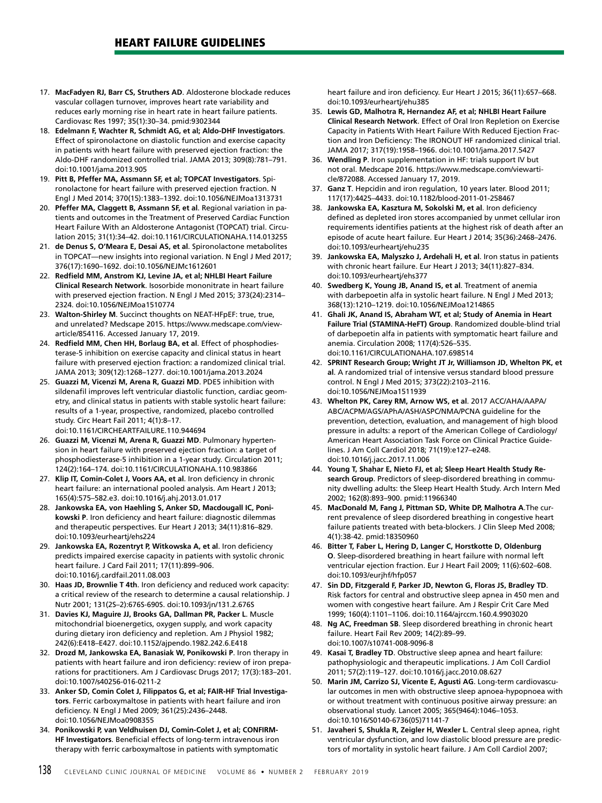- 17. **MacFadyen RJ, Barr CS, Struthers AD**. Aldosterone blockade reduces vascular collagen turnover, improves heart rate variability and reduces early morning rise in heart rate in heart failure patients. Cardiovasc Res 1997; 35(1):30–34. pmid:9302344
- 18. **Edelmann F, Wachter R, Schmidt AG, et al; Aldo-DHF Investigators**. Effect of spironolactone on diastolic function and exercise capacity in patients with heart failure with preserved ejection fraction: the Aldo-DHF randomized controlled trial. JAMA 2013; 309(8):781–791. doi:10.1001/jama.2013.905
- 19. **Pitt B, Pfeffer MA, Assmann SF, et al; TOPCAT Investigators**. Spironolactone for heart failure with preserved ejection fraction. N Engl J Med 2014; 370(15):1383–1392. doi:10.1056/NEJMoa1313731
- 20. **Pfeffer MA, Claggett B, Assmann SF, et al**. Regional variation in patients and outcomes in the Treatment of Preserved Cardiac Function Heart Failure With an Aldosterone Antagonist (TOPCAT) trial. Circulation 2015; 31(1):34–42. doi:10.1161/CIRCULATIONAHA.114.013255
- 21. **de Denus S, O'Meara E, Desai AS, et al**. Spironolactone metabolites in TOPCAT—new insights into regional variation. N Engl J Med 2017; 376(17):1690–1692. doi:10.1056/NEJMc1612601
- 22. **Redfield MM, Anstrom KJ, Levine JA, et al; NHLBI Heart Failure Clinical Research Network**. Isosorbide mononitrate in heart failure with preserved ejection fraction. N Engl J Med 2015; 373(24):2314– 2324. doi:10.1056/NEJMoa1510774
- 23. **Walton-Shirley M**. Succinct thoughts on NEAT-HFpEF: true, true, and unrelated? Medscape 2015. https://www.medscape.com/viewarticle/854116. Accessed January 17, 2019.
- 24. **Redfield MM, Chen HH, Borlaug BA, et al**. Effect of phosphodiesterase-5 inhibition on exercise capacity and clinical status in heart failure with preserved ejection fraction: a randomized clinical trial. JAMA 2013; 309(12):1268–1277. doi:10.1001/jama.2013.2024
- 25. **Guazzi M, Vicenzi M, Arena R, Guazzi MD**. PDE5 inhibition with sildenafil improves left ventricular diastolic function, cardiac geometry, and clinical status in patients with stable systolic heart failure: results of a 1-year, prospective, randomized, placebo controlled study. Circ Heart Fail 2011; 4(1):8–17. doi:10.1161/CIRCHEARTFAILURE.110.944694
- 26. **Guazzi M, Vicenzi M, Arena R, Guazzi MD**. Pulmonary hypertension in heart failure with preserved ejection fraction: a target of phosphodiesterase-5 inhibition in a 1-year study. Circulation 2011; 124(2):164–174. doi:10.1161/CIRCULATIONAHA.110.983866
- 27. **Klip IT, Comin-Colet J, Voors AA, et al**. Iron deficiency in chronic heart failure: an international pooled analysis. Am Heart J 2013; 165(4):575–582.e3. doi:10.1016/j.ahj.2013.01.017
- 28. **Jankowska EA, von Haehling S, Anker SD, Macdougall IC, Ponikowski P**. Iron deficiency and heart failure: diagnostic dilemmas and therapeutic perspectives. Eur Heart J 2013; 34(11):816–829. doi:10.1093/eurheartj/ehs224
- 29. **Jankowska EA, Rozentryt P, Witkowska A, et al**. Iron deficiency predicts impaired exercise capacity in patients with systolic chronic heart failure. J Card Fail 2011; 17(11):899–906. doi:10.1016/j.cardfail.2011.08.003
- 30. **Haas JD, Brownlie T 4th**. Iron deficiency and reduced work capacity: a critical review of the research to determine a causal relationship. J Nutr 2001; 131(2S–2):676S-690S. doi:10.1093/jn/131.2.676S
- 31. **Davies KJ, Maguire JJ, Brooks GA, Dallman PR, Packer L**. Muscle mitochondrial bioenergetics, oxygen supply, and work capacity during dietary iron deficiency and repletion. Am J Physiol 1982; 242(6):E418–E427. doi:10.1152/ajpendo.1982.242.6.E418
- 32. **Drozd M, Jankowska EA, Banasiak W, Ponikowski P**. Iron therapy in patients with heart failure and iron deficiency: review of iron preparations for practitioners. Am J Cardiovasc Drugs 2017; 17(3):183–201. doi:10.1007/s40256-016-0211-2
- 33. **Anker SD, Comin Colet J, Filippatos G, et al; FAIR-HF Trial Investigators**. Ferric carboxymaltose in patients with heart failure and iron deficiency. N Engl J Med 2009; 361(25):2436–2448. doi:10.1056/NEJMoa0908355
- 34. **Ponikowski P, van Veldhuisen DJ, Comin-Colet J, et al; CONFIRM-HF Investigators**. Beneficial effects of long-term intravenous iron therapy with ferric carboxymaltose in patients with symptomatic

heart failure and iron deficiency. Eur Heart J 2015; 36(11):657–668. doi:10.1093/eurheartj/ehu385

- 35. **Lewis GD, Malhotra R, Hernandez AF, et al; NHLBI Heart Failure Clinical Research Network**. Effect of Oral Iron Repletion on Exercise Capacity in Patients With Heart Failure With Reduced Ejection Fraction and Iron Deficiency: The IRONOUT HF randomized clinical trial. JAMA 2017; 317(19):1958–1966. doi:10.1001/jama.2017.5427
- 36. **Wendling P**. Iron supplementation in HF: trials support IV but not oral. Medscape 2016. https://www.medscape.com/viewarticle/872088. Accessed January 17, 2019.
- 37. **Ganz T**. Hepcidin and iron regulation, 10 years later. Blood 2011; 117(17):4425–4433. doi:10.1182/blood-2011-01-258467
- 38. **Jankowska EA, Kasztura M, Sokolski M, et al**. Iron deficiency defined as depleted iron stores accompanied by unmet cellular iron requirements identifies patients at the highest risk of death after an episode of acute heart failure. Eur Heart J 2014; 35(36):2468–2476. doi:10.1093/eurheartj/ehu235
- 39. **Jankowska EA, Malyszko J, Ardehali H, et al**. Iron status in patients with chronic heart failure. Eur Heart J 2013; 34(11):827–834. doi:10.1093/eurheartj/ehs377
- 40. **Swedberg K, Young JB, Anand IS, et al**. Treatment of anemia with darbepoetin alfa in systolic heart failure. N Engl J Med 2013; 368(13):1210–1219. doi:10.1056/NEJMoa1214865
- 41. **Ghali JK, Anand IS, Abraham WT, et al; Study of Anemia in Heart Failure Trial (STAMINA-HeFT) Group**. Randomized double-blind trial of darbepoetin alfa in patients with symptomatic heart failure and anemia. Circulation 2008; 117(4):526–535. doi:10.1161/CIRCULATIONAHA.107.698514
- 42. **SPRINT Research Group; Wright JT Jr, Williamson JD, Whelton PK, et al**. A randomized trial of intensive versus standard blood pressure control. N Engl J Med 2015; 373(22):2103–2116. doi:10.1056/NEJMoa1511939
- 43. **Whelton PK, Carey RM, Arnow WS, et al**. 2017 ACC/AHA/AAPA/ ABC/ACPM/AGS/APhA/ASH/ASPC/NMA/PCNA guideline for the prevention, detection, evaluation, and management of high blood pressure in adults: a report of the American College of Cardiology/ American Heart Association Task Force on Clinical Practice Guidelines. J Am Coll Cardiol 2018; 71(19):e127–e248. doi:10.1016/j.jacc.2017.11.006
- 44. **Young T, Shahar E, Nieto FJ, et al; Sleep Heart Health Study Research Group**. Predictors of sleep-disordered breathing in community dwelling adults: the Sleep Heart Health Study. Arch Intern Med 2002; 162(8):893–900. pmid:11966340
- 45. **MacDonald M, Fang J, Pittman SD, White DP, Malhotra A**.The current prevalence of sleep disordered breathing in congestive heart failure patients treated with beta-blockers. J Clin Sleep Med 2008; 4(1):38-42. pmid:18350960
- 46. **Bitter T, Faber L, Hering D, Langer C, Horstkotte D, Oldenburg O**. Sleep-disordered breathing in heart failure with normal left ventricular ejection fraction. Eur J Heart Fail 2009; 11(6):602–608. doi:10.1093/eurjhf/hfp057
- 47. **Sin DD, Fitzgerald F, Parker JD, Newton G, Floras JS, Bradley TD**. Risk factors for central and obstructive sleep apnea in 450 men and women with congestive heart failure. Am J Respir Crit Care Med 1999; 160(4):1101–1106. doi:10.1164/ajrccm.160.4.9903020
- 48. **Ng AC, Freedman SB**. Sleep disordered breathing in chronic heart failure. Heart Fail Rev 2009; 14(2):89–99. doi:10.1007/s10741-008-9096-8
- 49. **Kasai T, Bradley TD**. Obstructive sleep apnea and heart failure: pathophysiologic and therapeutic implications. J Am Coll Cardiol 2011; 57(2):119–127. doi:10.1016/j.jacc.2010.08.627
- 50. **Marin JM, Carrizo SJ, Vicente E, Agusti AG**. Long-term cardiovascular outcomes in men with obstructive sleep apnoea-hypopnoea with or without treatment with continuous positive airway pressure: an observational study. Lancet 2005; 365(9464):1046–1053. doi:10.1016/S0140-6736(05)71141-7
- 51. **Javaheri S, Shukla R, Zeigler H, Wexler L**. Central sleep apnea, right ventricular dysfunction, and low diastolic blood pressure are predictors of mortality in systolic heart failure. J Am Coll Cardiol 2007;